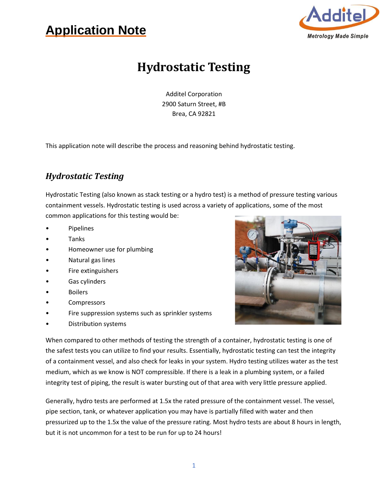## **Application Note**



### **Hydrostatic Testing**

Additel Corporation 2900 Saturn Street, #B Brea, CA 92821

This application note will describe the process and reasoning behind hydrostatic testing.

#### *Hydrostatic Testing*

Hydrostatic Testing (also known as stack testing or a hydro test) is a method of pressure testing various containment vessels. Hydrostatic testing is used across a variety of applications, some of the most common applications for this testing would be:

- **Pipelines**
- **Tanks**
- Homeowner use for plumbing
- Natural gas lines
- Fire extinguishers
- Gas cylinders
- Boilers
- **Compressors**
- Fire suppression systems such as sprinkler systems
- Distribution systems



When compared to other methods of testing the strength of a container, hydrostatic testing is one of the safest tests you can utilize to find your results. Essentially, hydrostatic testing can test the integrity of a containment vessel, and also check for leaks in your system. Hydro testing utilizes water as the test medium, which as we know is NOT compressible. If there is a leak in a plumbing system, or a failed integrity test of piping, the result is water bursting out of that area with very little pressure applied.

Generally, hydro tests are performed at 1.5x the rated pressure of the containment vessel. The vessel, pipe section, tank, or whatever application you may have is partially filled with water and then pressurized up to the 1.5x the value of the pressure rating. Most hydro tests are about 8 hours in length, but it is not uncommon for a test to be run for up to 24 hours!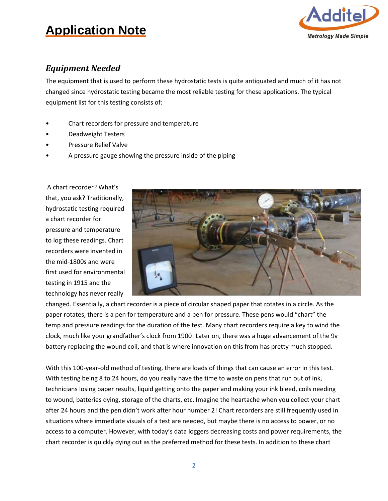### **Application Note**



#### *Equipment Needed*

The equipment that is used to perform these hydrostatic tests is quite antiquated and much of it has not changed since hydrostatic testing became the most reliable testing for these applications. The typical equipment list for this testing consists of:

- Chart recorders for pressure and temperature
- Deadweight Testers
- Pressure Relief Valve
- A pressure gauge showing the pressure inside of the piping

A chart recorder? What's that, you ask? Traditionally, hydrostatic testing required a chart recorder for pressure and temperature to log these readings. Chart recorders were invented in the mid-1800s and were first used for environmental testing in 1915 and the technology has never really



changed. Essentially, a chart recorder is a piece of circular shaped paper that rotates in a circle. As the paper rotates, there is a pen for temperature and a pen for pressure. These pens would "chart" the temp and pressure readings for the duration of the test. Many chart recorders require a key to wind the clock, much like your grandfather's clock from 1900! Later on, there was a huge advancement of the 9v battery replacing the wound coil, and that is where innovation on this from has pretty much stopped.

With this 100-year-old method of testing, there are loads of things that can cause an error in this test. With testing being 8 to 24 hours, do you really have the time to waste on pens that run out of ink, technicians losing paper results, liquid getting onto the paper and making your ink bleed, coils needing to wound, batteries dying, storage of the charts, etc. Imagine the heartache when you collect your chart after 24 hours and the pen didn't work after hour number 2! Chart recorders are still frequently used in situations where immediate visuals of a test are needed, but maybe there is no access to power, or no access to a computer. However, with today's data loggers decreasing costs and power requirements, the chart recorder is quickly dying out as the preferred method for these tests. In addition to these chart